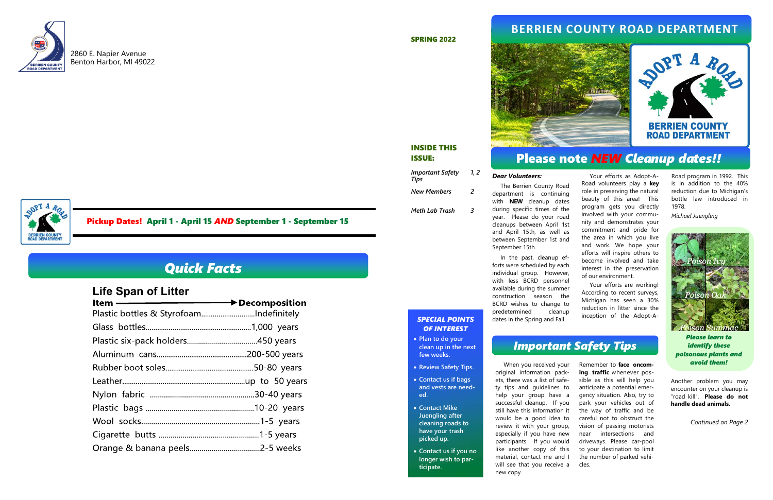

2860 E. Napier Avenue Benton Harbor, MI 49022

#### *Dear Volunteers:*

 The Berrien County Road department is continuing with **NEW** cleanup dates during specific times of the year. Please do your road cleanups between April 1st and April 15th, as well as between September 1st and September 15th.

 In the past, cleanup efforts were scheduled by each individual group. However, with less BCRD personnel available during the summer construction season the BCRD wishes to change to predetermined cleanup dates in the Spring and Fall. become involved and take interest in the preservation of our environment. Your efforts are working! According to recent surveys, Michigan has seen a 30% reduction in litter since the inception of the Adopt-A-

 Your efforts as Adopt-A-Road volunteers play a **key**  role in preserving the natural beauty of this area! This program gets you directly involved with your community and demonstrates your commitment and pride for the area in which you live and work. We hope your efforts will inspire others to

 When you received your original information packets, there was a list of safety tips and guidelines to help your group have a successful cleanup. If you still have this information it would be a good idea to review it with your group, especially if you have new participants. If you would like another copy of this material, contact me and I will see that you receive a new copy. Remember to **face oncoming traffic** whenever possible as this will help you anticipate a potential emergency situation. Also, try to park your vehicles out of the way of traffic and be careful not to obstruct the vision of passing motorists near intersections and driveways. Please car-pool to your destination to limit the number of parked vehicles.

Another problem you may encounter on your cleanup is "road kill". **Please do not handle dead animals.**

#### SPRING 2022



*Tips* 

*New Members* 

*1, 2* 

 $\overline{2}$ 

#### *Important Safety*  ISSUE:

*Meth Lab Trash 3* 

# **BERRIEN COUNTY**<br>(OAD DEPARTMENT

INSIDE THIS

- **Plan to do your clean up in the next few weeks.**
- **Review Safety Tips.**
- **Contact us if bags and vests are needed.**
- **Contact Mike Juengling after cleaning roads to have your trash picked up.**
- **Contact us if you no longer wish to participate.**

*Continued on Page 2* 

Pickup Dates! April 1 - April 15 *AND* September 1 - September 15

#### *SPECIAL POINTS OF INTEREST*

Road program in 1992. This is in addition to the 40% reduction due to Michigan's bottle law introduced in 1978.

*Michael Juengling*



*Please learn to identify these poisonous plants and avoid them!* 

## *Important Safety Tips*

## Please note *NEW Cleanup dates!!*

## **BERRIEN COUNTY ROAD DEPARTMENT**



# *Quick Facts*

# **Life Span of Litter**

| Item ———————————— > Decomposition       |  |
|-----------------------------------------|--|
| Plastic bottles & StyrofoamIndefinitely |  |
|                                         |  |
|                                         |  |
|                                         |  |
|                                         |  |
|                                         |  |
|                                         |  |
|                                         |  |
|                                         |  |
|                                         |  |
|                                         |  |